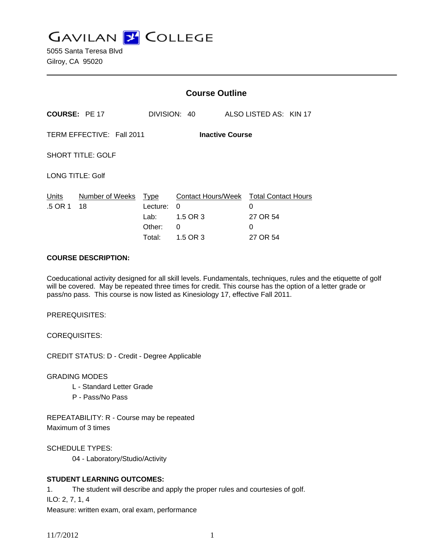**GAVILAN Z COLLEGE** 

5055 Santa Teresa Blvd Gilroy, CA 95020

|                                                     |                       | <b>Course Outline</b>                               |                                                      |  |                                                              |  |
|-----------------------------------------------------|-----------------------|-----------------------------------------------------|------------------------------------------------------|--|--------------------------------------------------------------|--|
| <b>COURSE: PE 17</b>                                |                       |                                                     | DIVISION: 40                                         |  | ALSO LISTED AS: KIN 17                                       |  |
| TERM EFFECTIVE: Fall 2011<br><b>Inactive Course</b> |                       |                                                     |                                                      |  |                                                              |  |
| <b>SHORT TITLE: GOLF</b>                            |                       |                                                     |                                                      |  |                                                              |  |
| <b>LONG TITLE: Golf</b>                             |                       |                                                     |                                                      |  |                                                              |  |
| Units<br>.5 OR 1                                    | Number of Weeks<br>18 | <b>Type</b><br>Lecture:<br>Lab:<br>Other:<br>Total: | Contact Hours/Week<br>0<br>1.5 OR 3<br>0<br>1.5 OR 3 |  | <b>Total Contact Hours</b><br>0<br>27 OR 54<br>0<br>27 OR 54 |  |

#### **COURSE DESCRIPTION:**

Coeducational activity designed for all skill levels. Fundamentals, techniques, rules and the etiquette of golf will be covered. May be repeated three times for credit. This course has the option of a letter grade or pass/no pass. This course is now listed as Kinesiology 17, effective Fall 2011.

PREREQUISITES:

COREQUISITES:

CREDIT STATUS: D - Credit - Degree Applicable

GRADING MODES

- L Standard Letter Grade
- P Pass/No Pass

REPEATABILITY: R - Course may be repeated Maximum of 3 times

SCHEDULE TYPES:

04 - Laboratory/Studio/Activity

## **STUDENT LEARNING OUTCOMES:**

1. The student will describe and apply the proper rules and courtesies of golf.

ILO: 2, 7, 1, 4

Measure: written exam, oral exam, performance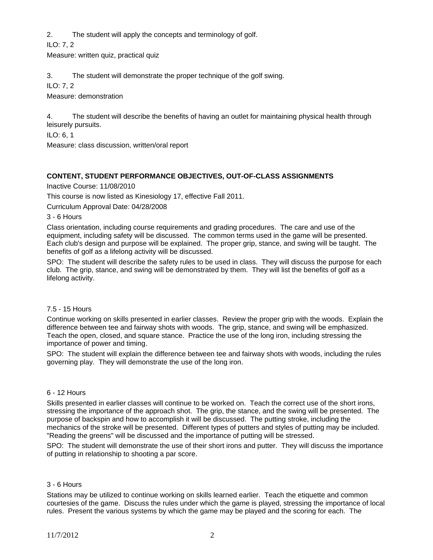2. The student will apply the concepts and terminology of golf.

ILO: 7, 2

Measure: written quiz, practical quiz

3. The student will demonstrate the proper technique of the golf swing.

ILO: 7, 2

Measure: demonstration

4. The student will describe the benefits of having an outlet for maintaining physical health through leisurely pursuits.

ILO: 6, 1

Measure: class discussion, written/oral report

# **CONTENT, STUDENT PERFORMANCE OBJECTIVES, OUT-OF-CLASS ASSIGNMENTS**

Inactive Course: 11/08/2010

This course is now listed as Kinesiology 17, effective Fall 2011.

Curriculum Approval Date: 04/28/2008

3 - 6 Hours

Class orientation, including course requirements and grading procedures. The care and use of the equipment, including safety will be discussed. The common terms used in the game will be presented. Each club's design and purpose will be explained. The proper grip, stance, and swing will be taught. The benefits of golf as a lifelong activity will be discussed.

SPO: The student will describe the safety rules to be used in class. They will discuss the purpose for each club. The grip, stance, and swing will be demonstrated by them. They will list the benefits of golf as a lifelong activity.

### 7.5 - 15 Hours

Continue working on skills presented in earlier classes. Review the proper grip with the woods. Explain the difference between tee and fairway shots with woods. The grip, stance, and swing will be emphasized. Teach the open, closed, and square stance. Practice the use of the long iron, including stressing the importance of power and timing.

SPO: The student will explain the difference between tee and fairway shots with woods, including the rules governing play. They will demonstrate the use of the long iron.

### 6 - 12 Hours

Skills presented in earlier classes will continue to be worked on. Teach the correct use of the short irons, stressing the importance of the approach shot. The grip, the stance, and the swing will be presented. The purpose of backspin and how to accomplish it will be discussed. The putting stroke, including the mechanics of the stroke will be presented. Different types of putters and styles of putting may be included. "Reading the greens" will be discussed and the importance of putting will be stressed.

SPO: The student will demonstrate the use of their short irons and putter. They will discuss the importance of putting in relationship to shooting a par score.

# 3 - 6 Hours

Stations may be utilized to continue working on skills learned earlier. Teach the etiquette and common courtesies of the game. Discuss the rules under which the game is played, stressing the importance of local rules. Present the various systems by which the game may be played and the scoring for each. The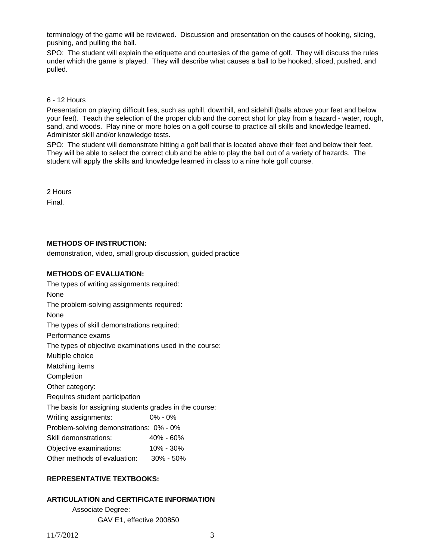terminology of the game will be reviewed. Discussion and presentation on the causes of hooking, slicing, pushing, and pulling the ball.

SPO: The student will explain the etiquette and courtesies of the game of golf. They will discuss the rules under which the game is played. They will describe what causes a ball to be hooked, sliced, pushed, and pulled.

#### 6 - 12 Hours

Presentation on playing difficult lies, such as uphill, downhill, and sidehill (balls above your feet and below your feet). Teach the selection of the proper club and the correct shot for play from a hazard - water, rough, sand, and woods. Play nine or more holes on a golf course to practice all skills and knowledge learned. Administer skill and/or knowledge tests.

SPO: The student will demonstrate hitting a golf ball that is located above their feet and below their feet. They will be able to select the correct club and be able to play the ball out of a variety of hazards. The student will apply the skills and knowledge learned in class to a nine hole golf course.

2 Hours Final.

## **METHODS OF INSTRUCTION:**

demonstration, video, small group discussion, guided practice

## **METHODS OF EVALUATION:**

The types of writing assignments required: None The problem-solving assignments required: None The types of skill demonstrations required: Performance exams The types of objective examinations used in the course: Multiple choice Matching items Completion Other category: Requires student participation The basis for assigning students grades in the course: Writing assignments: 0% - 0% Problem-solving demonstrations: 0% - 0% Skill demonstrations: 40% - 60% Objective examinations: 10% - 30% Other methods of evaluation: 30% - 50%

# **REPRESENTATIVE TEXTBOOKS:**

### **ARTICULATION and CERTIFICATE INFORMATION**

 Associate Degree: GAV E1, effective 200850